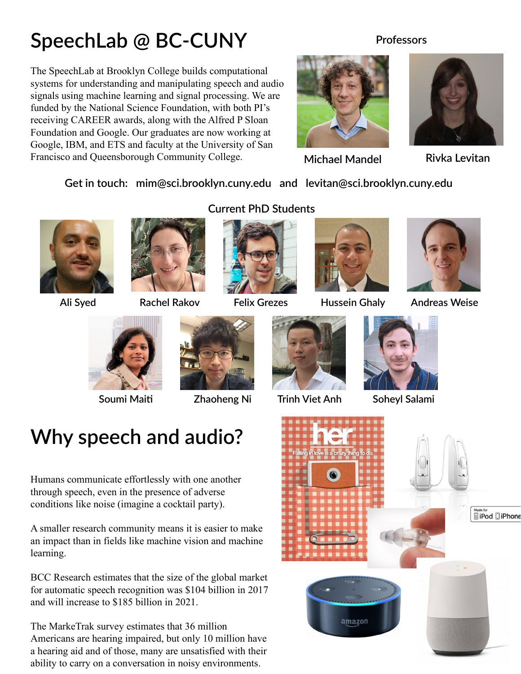# **SpeechLab @ BC-CUNY**

The SpeechLab at Brooklyn College builds computational systems for understanding and manipulating speech and audio signals using machine learning and signal processing. We are funded by the National Science Foundation, with both PI's receiving CAREER awards, along with the Alfred P Sloan Foundation and Google. Our graduates are now working at Google, IBM, and ETS and faculty at the University of San Francisco and Queensborough Community College.

#### **Professors**



**Michael Mandel Rivka Levitan**



#### **Get in touch: mim@sci.brooklyn.cuny.edu and levitan@sci.brooklyn.cuny.edu**





#### **Current PhD Students**







**Ali Syed Rachel Rakov Felix Grezes Hussein Ghaly Andreas Weise**







**Soumi Maiti Zhaoheng Ni Trinh Viet Anh Soheyl Salami**





# **Why speech and audio?**

Humans communicate effortlessly with one another through speech, even in the presence of adverse conditions like noise (imagine a cocktail party).

A smaller research community means it is easier to make an impact than in fields like machine vision and machine learning.

BCC Research estimates that the size of the global market for automatic speech recognition was \$104 billion in 2017 and will increase to \$185 billion in 2021.

The MarkeTrak survey estimates that 36 million Americans are hearing impaired, but only 10 million have a hearing aid and of those, many are unsatisfied with their ability to carry on a conversation in noisy environments.